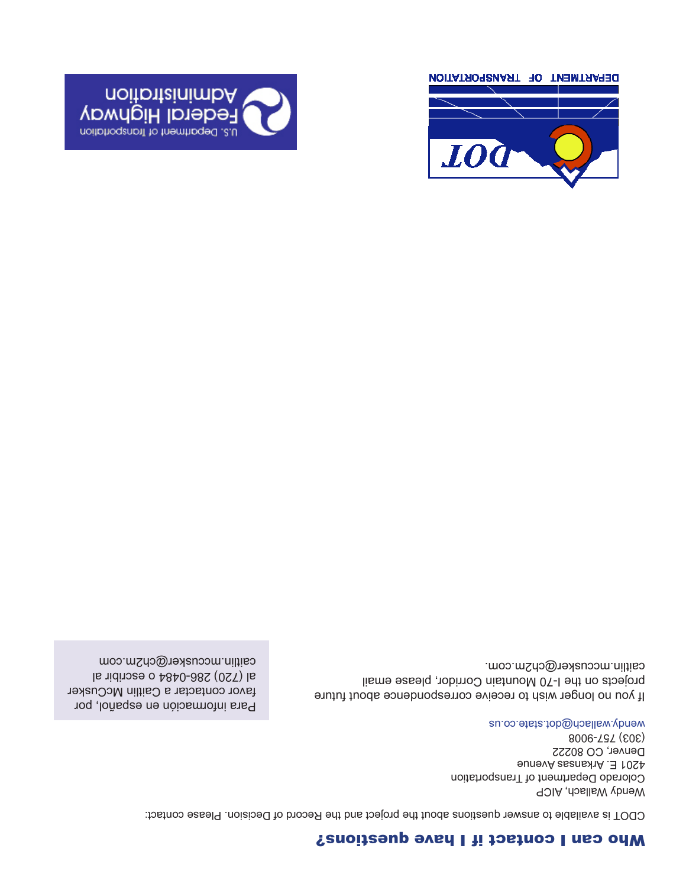## Who can I contact if I have questions?

CDOT is available to answer questions about the project and the Record of Decision. Please contact:

Wendy Wallach, AICP Colorado Department of Transportation 4201 E. Arkansas Avenue Denver, CO 80222 (303) 757-9008 wendy.wallach@dob.state.co.us

If you no longer wish to receive correspondence about future projects on the I-70 Mountain Corridor, please email caitlin.mccusker@ch2m.com.

Para información en español, por favor contactar a Caitlin McCusker al (720) 286-0484 o escribir al caitlin.mccusker@ch2m.com



DEPARTMENT OF TRANSPORTATION